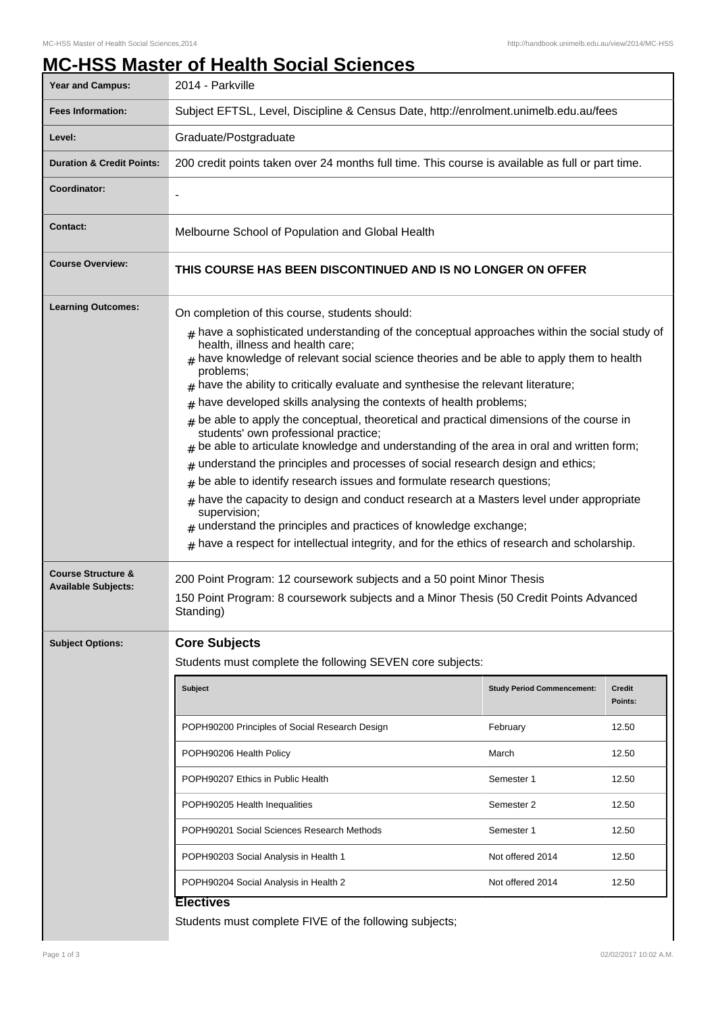## **MC-HSS Master of Health Social Sciences**

| <b>Year and Campus:</b>                                     | 2014 - Parkville                                                                                                                                                                                                                                                                                                                                                                                                                                                                                                                                                                                                                                                                                                                                                                                                                                                                                                                                                                                                                                                                                                                           |                                   |                          |
|-------------------------------------------------------------|--------------------------------------------------------------------------------------------------------------------------------------------------------------------------------------------------------------------------------------------------------------------------------------------------------------------------------------------------------------------------------------------------------------------------------------------------------------------------------------------------------------------------------------------------------------------------------------------------------------------------------------------------------------------------------------------------------------------------------------------------------------------------------------------------------------------------------------------------------------------------------------------------------------------------------------------------------------------------------------------------------------------------------------------------------------------------------------------------------------------------------------------|-----------------------------------|--------------------------|
| <b>Fees Information:</b>                                    | Subject EFTSL, Level, Discipline & Census Date, http://enrolment.unimelb.edu.au/fees                                                                                                                                                                                                                                                                                                                                                                                                                                                                                                                                                                                                                                                                                                                                                                                                                                                                                                                                                                                                                                                       |                                   |                          |
| Level:                                                      | Graduate/Postgraduate                                                                                                                                                                                                                                                                                                                                                                                                                                                                                                                                                                                                                                                                                                                                                                                                                                                                                                                                                                                                                                                                                                                      |                                   |                          |
| <b>Duration &amp; Credit Points:</b>                        | 200 credit points taken over 24 months full time. This course is available as full or part time.                                                                                                                                                                                                                                                                                                                                                                                                                                                                                                                                                                                                                                                                                                                                                                                                                                                                                                                                                                                                                                           |                                   |                          |
| Coordinator:                                                |                                                                                                                                                                                                                                                                                                                                                                                                                                                                                                                                                                                                                                                                                                                                                                                                                                                                                                                                                                                                                                                                                                                                            |                                   |                          |
| <b>Contact:</b>                                             | Melbourne School of Population and Global Health                                                                                                                                                                                                                                                                                                                                                                                                                                                                                                                                                                                                                                                                                                                                                                                                                                                                                                                                                                                                                                                                                           |                                   |                          |
| <b>Course Overview:</b>                                     | THIS COURSE HAS BEEN DISCONTINUED AND IS NO LONGER ON OFFER                                                                                                                                                                                                                                                                                                                                                                                                                                                                                                                                                                                                                                                                                                                                                                                                                                                                                                                                                                                                                                                                                |                                   |                          |
| <b>Learning Outcomes:</b>                                   | On completion of this course, students should:<br>$*$ have a sophisticated understanding of the conceptual approaches within the social study of<br>health, illness and health care;<br>have knowledge of relevant social science theories and be able to apply them to health<br>problems;<br>$#$ have the ability to critically evaluate and synthesise the relevant literature;<br>have developed skills analysing the contexts of health problems;<br>be able to apply the conceptual, theoretical and practical dimensions of the course in<br>#<br>students' own professional practice;<br>be able to articulate knowledge and understanding of the area in oral and written form;<br>understand the principles and processes of social research design and ethics;<br>#<br>be able to identify research issues and formulate research questions;<br>have the capacity to design and conduct research at a Masters level under appropriate<br>#<br>supervision;<br>understand the principles and practices of knowledge exchange;<br>have a respect for intellectual integrity, and for the ethics of research and scholarship.<br># |                                   |                          |
| <b>Course Structure &amp;</b><br><b>Available Subjects:</b> | 200 Point Program: 12 coursework subjects and a 50 point Minor Thesis<br>150 Point Program: 8 coursework subjects and a Minor Thesis (50 Credit Points Advanced<br>Standing)                                                                                                                                                                                                                                                                                                                                                                                                                                                                                                                                                                                                                                                                                                                                                                                                                                                                                                                                                               |                                   |                          |
| <b>Subject Options:</b>                                     | <b>Core Subjects</b><br>Students must complete the following SEVEN core subjects:                                                                                                                                                                                                                                                                                                                                                                                                                                                                                                                                                                                                                                                                                                                                                                                                                                                                                                                                                                                                                                                          |                                   |                          |
|                                                             | <b>Subject</b>                                                                                                                                                                                                                                                                                                                                                                                                                                                                                                                                                                                                                                                                                                                                                                                                                                                                                                                                                                                                                                                                                                                             | <b>Study Period Commencement:</b> | <b>Credit</b><br>Points: |
|                                                             | POPH90200 Principles of Social Research Design                                                                                                                                                                                                                                                                                                                                                                                                                                                                                                                                                                                                                                                                                                                                                                                                                                                                                                                                                                                                                                                                                             | February                          | 12.50                    |
|                                                             | POPH90206 Health Policy                                                                                                                                                                                                                                                                                                                                                                                                                                                                                                                                                                                                                                                                                                                                                                                                                                                                                                                                                                                                                                                                                                                    | March                             | 12.50                    |
|                                                             | POPH90207 Ethics in Public Health                                                                                                                                                                                                                                                                                                                                                                                                                                                                                                                                                                                                                                                                                                                                                                                                                                                                                                                                                                                                                                                                                                          | Semester 1                        | 12.50                    |
|                                                             | POPH90205 Health Inequalities                                                                                                                                                                                                                                                                                                                                                                                                                                                                                                                                                                                                                                                                                                                                                                                                                                                                                                                                                                                                                                                                                                              | Semester 2                        | 12.50                    |
|                                                             | POPH90201 Social Sciences Research Methods                                                                                                                                                                                                                                                                                                                                                                                                                                                                                                                                                                                                                                                                                                                                                                                                                                                                                                                                                                                                                                                                                                 | Semester 1                        | 12.50                    |
|                                                             | POPH90203 Social Analysis in Health 1                                                                                                                                                                                                                                                                                                                                                                                                                                                                                                                                                                                                                                                                                                                                                                                                                                                                                                                                                                                                                                                                                                      | Not offered 2014                  | 12.50                    |
|                                                             | POPH90204 Social Analysis in Health 2                                                                                                                                                                                                                                                                                                                                                                                                                                                                                                                                                                                                                                                                                                                                                                                                                                                                                                                                                                                                                                                                                                      | Not offered 2014                  | 12.50                    |
|                                                             | <b>Electives</b><br>Students must complete FIVE of the following subjects;                                                                                                                                                                                                                                                                                                                                                                                                                                                                                                                                                                                                                                                                                                                                                                                                                                                                                                                                                                                                                                                                 |                                   |                          |

I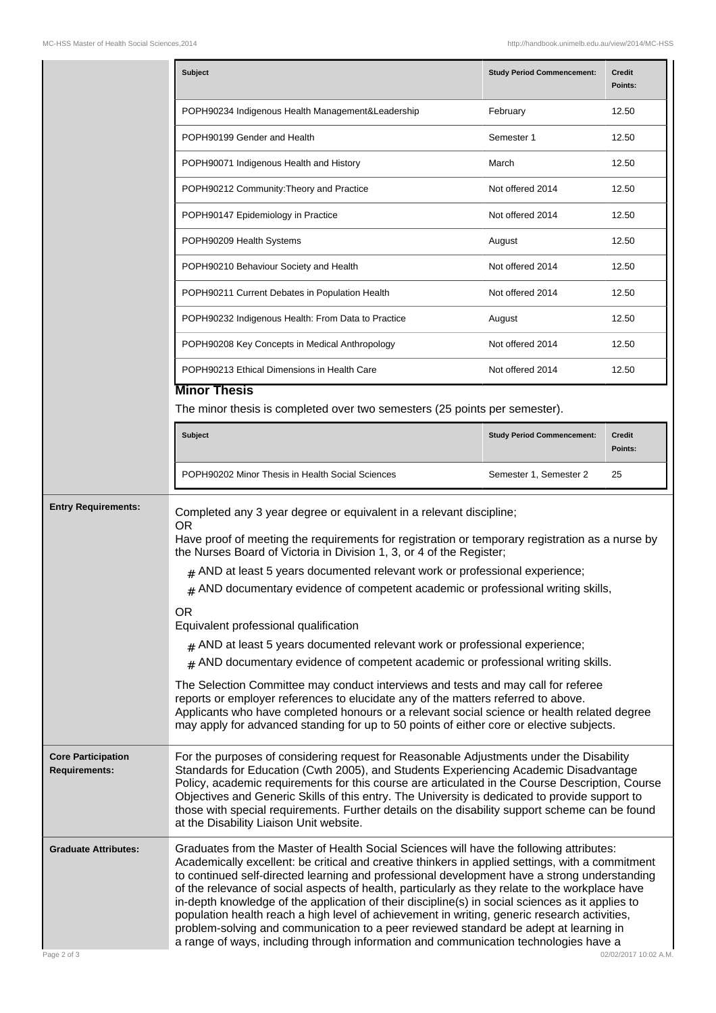|                                                   | <b>Subject</b>                                                                                                                                                                                                                                                                                                                                                                                                                                                                                                                                                                                                                                                                                                                                                                                                                                                                                                                                                                                                                       | <b>Study Period Commencement:</b> | <b>Credit</b><br>Points: |
|---------------------------------------------------|--------------------------------------------------------------------------------------------------------------------------------------------------------------------------------------------------------------------------------------------------------------------------------------------------------------------------------------------------------------------------------------------------------------------------------------------------------------------------------------------------------------------------------------------------------------------------------------------------------------------------------------------------------------------------------------------------------------------------------------------------------------------------------------------------------------------------------------------------------------------------------------------------------------------------------------------------------------------------------------------------------------------------------------|-----------------------------------|--------------------------|
|                                                   | POPH90234 Indigenous Health Management&Leadership                                                                                                                                                                                                                                                                                                                                                                                                                                                                                                                                                                                                                                                                                                                                                                                                                                                                                                                                                                                    | February                          | 12.50                    |
|                                                   | POPH90199 Gender and Health                                                                                                                                                                                                                                                                                                                                                                                                                                                                                                                                                                                                                                                                                                                                                                                                                                                                                                                                                                                                          | Semester 1                        | 12.50                    |
|                                                   | POPH90071 Indigenous Health and History                                                                                                                                                                                                                                                                                                                                                                                                                                                                                                                                                                                                                                                                                                                                                                                                                                                                                                                                                                                              | March                             | 12.50                    |
|                                                   | POPH90212 Community: Theory and Practice                                                                                                                                                                                                                                                                                                                                                                                                                                                                                                                                                                                                                                                                                                                                                                                                                                                                                                                                                                                             | Not offered 2014                  | 12.50                    |
|                                                   | POPH90147 Epidemiology in Practice                                                                                                                                                                                                                                                                                                                                                                                                                                                                                                                                                                                                                                                                                                                                                                                                                                                                                                                                                                                                   | Not offered 2014                  | 12.50                    |
|                                                   | POPH90209 Health Systems                                                                                                                                                                                                                                                                                                                                                                                                                                                                                                                                                                                                                                                                                                                                                                                                                                                                                                                                                                                                             | August                            | 12.50                    |
|                                                   | POPH90210 Behaviour Society and Health                                                                                                                                                                                                                                                                                                                                                                                                                                                                                                                                                                                                                                                                                                                                                                                                                                                                                                                                                                                               | Not offered 2014                  | 12.50                    |
|                                                   | POPH90211 Current Debates in Population Health                                                                                                                                                                                                                                                                                                                                                                                                                                                                                                                                                                                                                                                                                                                                                                                                                                                                                                                                                                                       | Not offered 2014                  | 12.50                    |
|                                                   | POPH90232 Indigenous Health: From Data to Practice                                                                                                                                                                                                                                                                                                                                                                                                                                                                                                                                                                                                                                                                                                                                                                                                                                                                                                                                                                                   | August                            | 12.50                    |
|                                                   | POPH90208 Key Concepts in Medical Anthropology                                                                                                                                                                                                                                                                                                                                                                                                                                                                                                                                                                                                                                                                                                                                                                                                                                                                                                                                                                                       | Not offered 2014                  | 12.50                    |
|                                                   | POPH90213 Ethical Dimensions in Health Care                                                                                                                                                                                                                                                                                                                                                                                                                                                                                                                                                                                                                                                                                                                                                                                                                                                                                                                                                                                          | Not offered 2014                  | 12.50                    |
|                                                   | <b>Minor Thesis</b>                                                                                                                                                                                                                                                                                                                                                                                                                                                                                                                                                                                                                                                                                                                                                                                                                                                                                                                                                                                                                  |                                   |                          |
|                                                   | The minor thesis is completed over two semesters (25 points per semester).                                                                                                                                                                                                                                                                                                                                                                                                                                                                                                                                                                                                                                                                                                                                                                                                                                                                                                                                                           |                                   |                          |
|                                                   | <b>Subject</b>                                                                                                                                                                                                                                                                                                                                                                                                                                                                                                                                                                                                                                                                                                                                                                                                                                                                                                                                                                                                                       | <b>Study Period Commencement:</b> | <b>Credit</b><br>Points: |
|                                                   | POPH90202 Minor Thesis in Health Social Sciences                                                                                                                                                                                                                                                                                                                                                                                                                                                                                                                                                                                                                                                                                                                                                                                                                                                                                                                                                                                     | Semester 1, Semester 2            | 25                       |
| <b>Entry Requirements:</b>                        | Completed any 3 year degree or equivalent in a relevant discipline;<br><b>OR</b><br>Have proof of meeting the requirements for registration or temporary registration as a nurse by<br>the Nurses Board of Victoria in Division 1, 3, or 4 of the Register;<br>$#$ AND at least 5 years documented relevant work or professional experience;<br>$#$ AND documentary evidence of competent academic or professional writing skills,<br><b>OR</b><br>Equivalent professional qualification<br>$#$ AND at least 5 years documented relevant work or professional experience;<br>$#$ AND documentary evidence of competent academic or professional writing skills.<br>The Selection Committee may conduct interviews and tests and may call for referee<br>reports or employer references to elucidate any of the matters referred to above.<br>Applicants who have completed honours or a relevant social science or health related degree<br>may apply for advanced standing for up to 50 points of either core or elective subjects. |                                   |                          |
| <b>Core Participation</b><br><b>Requirements:</b> | For the purposes of considering request for Reasonable Adjustments under the Disability<br>Standards for Education (Cwth 2005), and Students Experiencing Academic Disadvantage<br>Policy, academic requirements for this course are articulated in the Course Description, Course<br>Objectives and Generic Skills of this entry. The University is dedicated to provide support to<br>those with special requirements. Further details on the disability support scheme can be found<br>at the Disability Liaison Unit website.                                                                                                                                                                                                                                                                                                                                                                                                                                                                                                    |                                   |                          |
| <b>Graduate Attributes:</b><br>Page 2 of 3        | Graduates from the Master of Health Social Sciences will have the following attributes:<br>Academically excellent: be critical and creative thinkers in applied settings, with a commitment<br>to continued self-directed learning and professional development have a strong understanding<br>of the relevance of social aspects of health, particularly as they relate to the workplace have<br>in-depth knowledge of the application of their discipline(s) in social sciences as it applies to<br>population health reach a high level of achievement in writing, generic research activities,<br>problem-solving and communication to a peer reviewed standard be adept at learning in<br>a range of ways, including through information and communication technologies have a<br>02/02/2017 10:02 A.M.                                                                                                                                                                                                                         |                                   |                          |